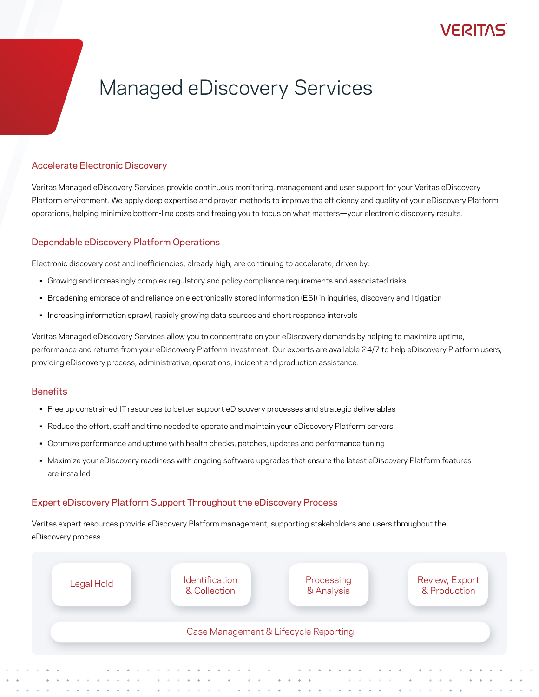# Managed eDiscovery Services

### Accelerate Electronic Discovery

Veritas Managed eDiscovery Services provide continuous monitoring, management and user support for your Veritas eDiscovery Platform environment. We apply deep expertise and proven methods to improve the efficiency and quality of your eDiscovery Platform operations, helping minimize bottom-line costs and freeing you to focus on what matters—your electronic discovery results.

### Dependable eDiscovery Platform Operations

Electronic discovery cost and inefficiencies, already high, are continuing to accelerate, driven by:

- Growing and increasingly complex regulatory and policy compliance requirements and associated risks
- Broadening embrace of and reliance on electronically stored information (ESI) in inquiries, discovery and litigation
- Increasing information sprawl, rapidly growing data sources and short response intervals

Veritas Managed eDiscovery Services allow you to concentrate on your eDiscovery demands by helping to maximize uptime, performance and returns from your eDiscovery Platform investment. Our experts are available 24/7 to help eDiscovery Platform users, providing eDiscovery process, administrative, operations, incident and production assistance.

#### **Benefits**

- Free up constrained IT resources to better support eDiscovery processes and strategic deliverables
- Reduce the effort, staff and time needed to operate and maintain your eDiscovery Platform servers
- Optimize performance and uptime with health checks, patches, updates and performance tuning
- Maximize your eDiscovery readiness with ongoing software upgrades that ensure the latest eDiscovery Platform features are installed

#### Expert eDiscovery Platform Support Throughout the eDiscovery Process

Veritas expert resources provide eDiscovery Platform management, supporting stakeholders and users throughout the eDiscovery process.